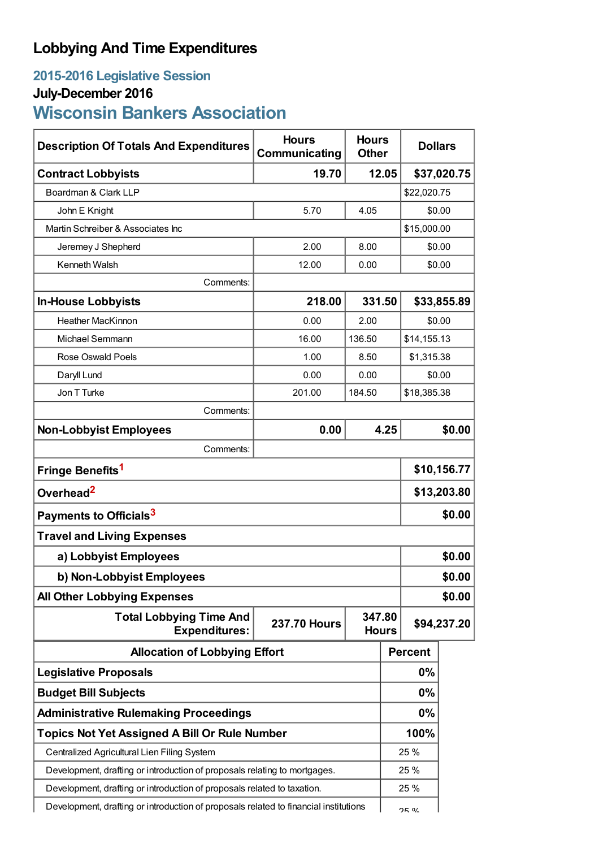## **Lobbying And Time Expenditures**

## **2015-2016 Legislative Session**

## **July-December 2016**

# **Wisconsin Bankers Association**

| <b>Description Of Totals And Expenditures</b>                                        | <b>Hours</b><br>Communicating | <b>Hours</b><br><b>Other</b> | <b>Dollars</b>       |                |        |
|--------------------------------------------------------------------------------------|-------------------------------|------------------------------|----------------------|----------------|--------|
| <b>Contract Lobbyists</b>                                                            | 19.70                         |                              | 12.05<br>\$37,020.75 |                |        |
| Boardman & Clark LLP                                                                 |                               |                              |                      | \$22,020.75    |        |
| John E Knight                                                                        | 5.70                          | 4.05                         |                      | \$0.00         |        |
| Martin Schreiber & Associates Inc                                                    |                               |                              | \$15,000.00          |                |        |
| Jeremey J Shepherd                                                                   | 2.00                          | 8.00                         | \$0.00               |                |        |
| Kenneth Walsh                                                                        | 12.00                         | 0.00                         |                      | \$0.00         |        |
| Comments:                                                                            |                               |                              |                      |                |        |
| <b>In-House Lobbyists</b>                                                            | 218.00                        | 331.50                       |                      | \$33,855.89    |        |
| <b>Heather MacKinnon</b>                                                             | 0.00                          | 2.00                         |                      | \$0.00         |        |
| Michael Semmann                                                                      | 16.00                         | 136.50                       |                      | \$14,155.13    |        |
| <b>Rose Oswald Poels</b>                                                             | 1.00                          | 8.50                         |                      | \$1,315.38     |        |
| Daryll Lund                                                                          | 0.00                          | 0.00                         |                      | \$0.00         |        |
| Jon T Turke                                                                          | 201.00                        | 184.50                       |                      | \$18,385.38    |        |
| Comments:                                                                            |                               |                              |                      |                |        |
| <b>Non-Lobbyist Employees</b>                                                        | 0.00                          |                              | 4.25                 |                | \$0.00 |
| Comments:                                                                            |                               |                              |                      |                |        |
| Fringe Benefits <sup>1</sup>                                                         |                               |                              |                      | \$10,156.77    |        |
| Overhead <sup>2</sup>                                                                |                               |                              |                      | \$13,203.80    |        |
| Payments to Officials <sup>3</sup>                                                   |                               |                              |                      | \$0.00         |        |
| <b>Travel and Living Expenses</b>                                                    |                               |                              |                      |                |        |
| a) Lobbyist Employees                                                                |                               |                              |                      | \$0.00         |        |
| b) Non-Lobbyist Employees                                                            |                               |                              |                      | \$0.00         |        |
| <b>All Other Lobbying Expenses</b>                                                   |                               |                              |                      | \$0.00         |        |
| <b>Total Lobbying Time And</b><br><b>Expenditures:</b>                               | <b>237.70 Hours</b>           | 347.80<br><b>Hours</b>       |                      | \$94,237.20    |        |
| <b>Allocation of Lobbying Effort</b>                                                 |                               |                              |                      | <b>Percent</b> |        |
| <b>Legislative Proposals</b>                                                         |                               |                              |                      | 0%             |        |
| <b>Budget Bill Subjects</b>                                                          |                               |                              |                      | 0%             |        |
| <b>Administrative Rulemaking Proceedings</b>                                         |                               |                              | 0%                   |                |        |
| <b>Topics Not Yet Assigned A Bill Or Rule Number</b>                                 |                               |                              |                      | 100%           |        |
| Centralized Agricultural Lien Filing System                                          |                               |                              |                      | 25 %           |        |
| Development, drafting or introduction of proposals relating to mortgages.            |                               |                              |                      | 25 %           |        |
| Development, drafting or introduction of proposals related to taxation.              |                               |                              |                      | 25 %           |        |
| Development, drafting or introduction of proposals related to financial institutions |                               |                              |                      | <b>ጋፎ 0/_</b>  |        |